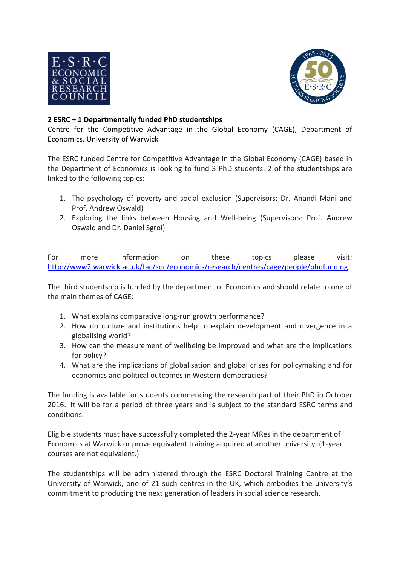



## **2 ESRC + 1 Departmentally funded PhD studentships**

Centre for the Competitive Advantage in the Global Economy (CAGE), Department of Economics, University of Warwick

The ESRC funded Centre for Competitive Advantage in the Global Economy (CAGE) based in the Department of Economics is looking to fund 3 PhD students. 2 of the studentships are linked to the following topics:

- 1. The psychology of poverty and social exclusion (Supervisors: Dr. Anandi Mani and Prof. Andrew Oswald)
- 2. Exploring the links between Housing and Well-being (Supervisors: Prof. Andrew Oswald and Dr. Daniel Sgroi)

For more information on these topics please visit: <http://www2.warwick.ac.uk/fac/soc/economics/research/centres/cage/people/phdfunding>

The third studentship is funded by the department of Economics and should relate to one of the main themes of CAGE:

- 1. What explains comparative long-run growth performance?
- 2. How do culture and institutions help to explain development and divergence in a globalising world?
- 3. How can the measurement of wellbeing be improved and what are the implications for policy?
- 4. What are the implications of globalisation and global crises for policymaking and for economics and political outcomes in Western democracies?

The funding is available for students commencing the research part of their PhD in October 2016. It will be for a period of three years and is subject to the standard ESRC terms and conditions.

Eligible students must have successfully completed the 2-year MRes in the department of Economics at Warwick or prove equivalent training acquired at another university. (1-year courses are not equivalent.)

The studentships will be administered through the ESRC Doctoral Training Centre at the University of Warwick, one of 21 such centres in the UK, which embodies the university's commitment to producing the next generation of leaders in social science research.